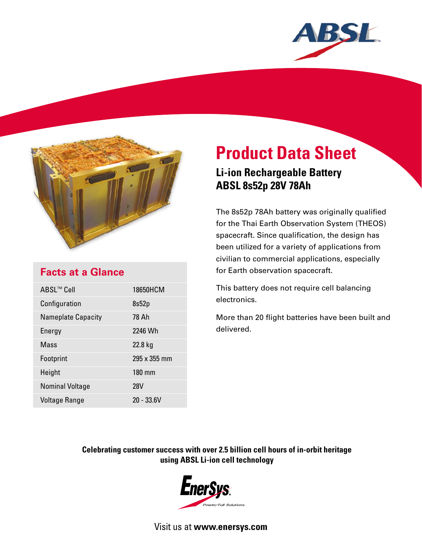



## **Facts at a Glance**

| ABSL™ Cell                | 18650HCM     |
|---------------------------|--------------|
| Configuration             | 8s52p        |
| <b>Nameplate Capacity</b> | 78 Ah        |
| Energy                    | 2246 Wh      |
| Mass                      | 22.8 kg      |
| Footprint                 | 295 x 355 mm |
| Height                    | 180 mm       |
| <b>Nominal Voltage</b>    | <b>28V</b>   |
| <b>Voltage Range</b>      | $20 - 33.6V$ |

# **Product Data Sheet Li-ion Rechargeable Battery ABSL 8s52p 28V 78Ah**

The 8s52p 78Ah battery was originally qualified for the Thai Earth Observation System (THEOS) spacecraft. Since qualification, the design has been utilized for a variety of applications from civilian to commercial applications, especially for Earth observation spacecraft.

This battery does not require cell balancing electronics.

More than 20 flight batteries have been built and delivered.

### **Celebrating customer success with over 2.5 billion cell hours of in-orbit heritage using ABSL Li-ion cell technology**



Visit us at **www.enersys.com**